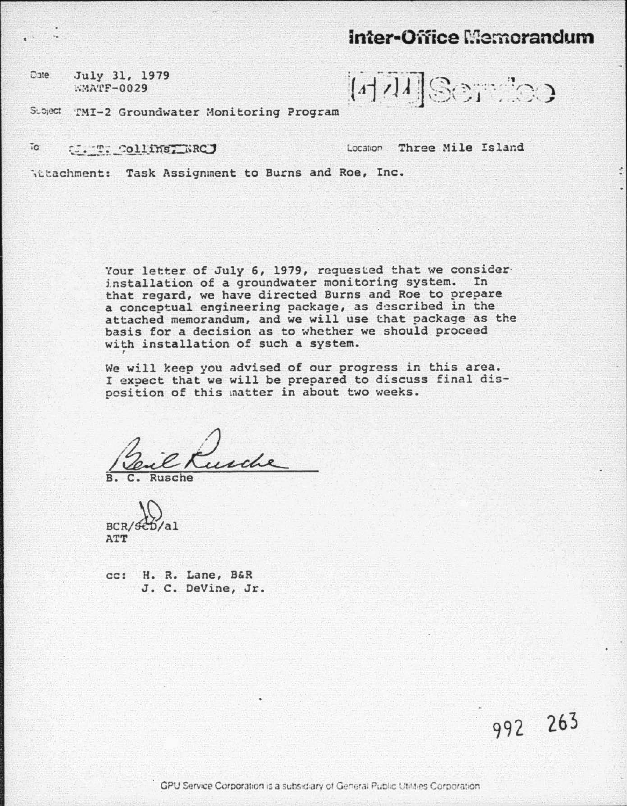## Inter-Office Memorandum

Date July 31, 1979 WMATF-0029

 $|4|4|$ Service

Subject TMI-2 Groundwater Monitoring Program

 $70$ U. T. Collins, WRCJ Locaton Three Mile Island

Witachment: Task Assignment to Burns and Roe, Inc.

Your letter of July 6, 1979, requested that we consider installation of a groundwater monitoring system. In that regard, we have directed Burns and Roe to prepare a conceptual engineering package, as described in the attached memorandum, and we will use that package as the basis for a decision as to whether we should proceed with installation of such a system.

We will keep you advised of our progress in this area. I expect that we will be prepared to discuss final disposition of this matter in about two weeks.

**BCR** ATT

cc: H. R. Lane, B&R J. C. DeVine, Jr.

992 263